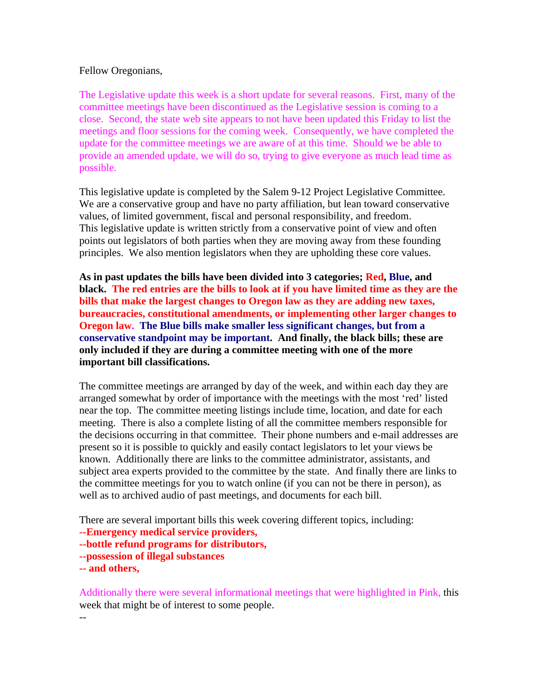### Fellow Oregonians,

The Legislative update this week is a short update for several reasons. First, many of the committee meetings have been discontinued as the Legislative session is coming to a close. Second, the state web site appears to not have been updated this Friday to list the meetings and floor sessions for the coming week. Consequently, we have completed the update for the committee meetings we are aware of at this time. Should we be able to provide an amended update, we will do so, trying to give everyone as much lead time as possible. The contract of the contract of the contract of the contract of the contract of the contract of the contract of the contract of the contract of the contract of the contract of the contract of the contract of the

This legislative update is completed by the Salem 9-12 Project Legislative Committee. We are a conservative group and have no party affiliation, but lean toward conservative values, of limited government, fiscal and personal responsibility, and freedom. This legislative update is written strictly from a conservative point of view and often points out legislators of both parties when they are moving away from these founding principles. We also mention legislators when they are upholding these core values.

**As in past updates the bills have been divided into 3 categories; Red, Blue, and black. The red entries are the bills to look at if you have limited time as they are the bills that make the largest changes to Oregon law as they are adding new taxes, bureaucracies, constitutional amendments, or implementing other larger changes to Oregon law. The Blue bills make smaller less significant changes, but from a conservative standpoint may be important. And finally, the black bills; these are only included if they are during a committee meeting with one of the more important bill classifications.** 

The committee meetings are arranged by day of the week, and within each day they are arranged somewhat by order of importance with the meetings with the most 'red' listed near the top. The committee meeting listings include time, location, and date for each meeting. There is also a complete listing of all the committee members responsible for the decisions occurring in that committee. Their phone numbers and e-mail addresses are present so it is possible to quickly and easily contact legislators to let your views be known. Additionally there are links to the committee administrator, assistants, and subject area experts provided to the committee by the state. And finally there are links to the committee meetings for you to watch online (if you can not be there in person), as well as to archived audio of past meetings, and documents for each bill.

There are several important bills this week covering different topics, including:

**--Emergency medical service providers,**

- **--bottle refund programs for distributors,**
- **--possession of illegal substances**

**-- and others,**

 $-$ 

Additionally there were several informational meetings that were highlighted in Pink, this week that might be of interest to some people.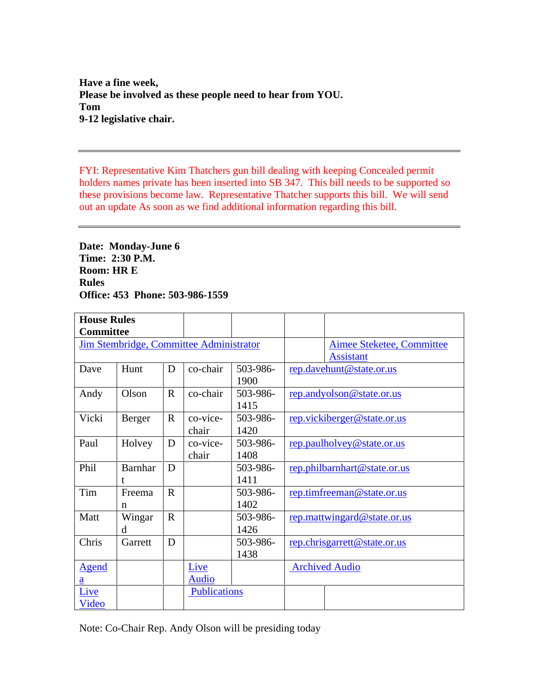**Have a fine week, Please be involved as these people need to hear from YOU. Tom 9-12 legislative chair.**

FYI: Representative Kim Thatchers gun bill dealing with keeping Concealed permit holders names private has been inserted into SB 347. This bill needs to be supported so these provisions become law. Representative Thatcher supports this bill. We will send out an update As soon as we find additional information regarding this bill.

**Date: Monday-June 6 Time: 2:30 P.M. Room: HR E Rules Office: 453 Phone: 503-986-1559** 

| <b>House Rules</b> |           |                                         |          |                              |
|--------------------|-----------|-----------------------------------------|----------|------------------------------|
| <b>Committee</b>   |           |                                         |          |                              |
|                    |           | Jim Stembridge, Committee Administrator |          | Aimee Steketee, Committee    |
|                    |           |                                         |          | Assistant                    |
| Dave               | Hunt      | $D$   co-chair                          | 503-986- | rep.davehunt@state.or.us     |
|                    |           |                                         | 1900     |                              |
| Andy               | Olson     | $\vert R \vert$ co-chair                | 503-986- | rep.andyolson@state.or.us    |
|                    |           |                                         | 1415     |                              |
| Vicki              | Berger    | co-vice-<br>$\mathbf{R}$                | 503-986- | rep.vickiberger@state.or.us  |
|                    |           | chair                                   | 1420     |                              |
| Paul               | Holvey    | $D$   co-vice-                          | 503-986- | rep.paulholvey@state.or.us   |
|                    |           | chair                                   | 1408     |                              |
| Phil               | Barnhar D |                                         | 503-986- | rep.philbarnhart@state.or.us |
|                    |           |                                         | 1411     |                              |
| Tim                | Freema    | $\mathbf R$                             | 503-986- | rep.timfreeman@state.or.us   |
|                    |           |                                         | 1402     |                              |
| Matt               | Wingar    | $\mathbf R$                             | 503-986- | rep.mattwingard@state.or.us  |
|                    |           |                                         | 1426     |                              |
| Chris              | Garrett   | D                                       | 503-986- | rep.chrisgarrett@state.or.us |
|                    |           |                                         | 1438     |                              |
| Agend              |           | Live                                    |          | <b>Archived Audio</b>        |
|                    |           | Audio                                   |          |                              |
| <u>Live</u>        |           | Publications                            |          |                              |
| Video              |           |                                         |          |                              |

Note: Co-Chair Rep. Andy Olson will be presiding today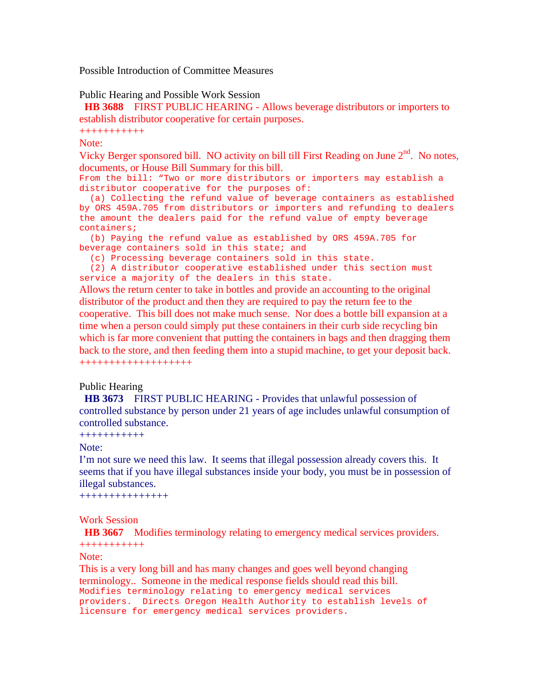Possible Introduction of Committee Measures

#### Public Hearing and Possible Work Session

**HB 3688** FIRST PUBLIC HEARING - Allows beverage distributors or importers to establish distributor cooperative for certain purposes.

+++++++++++

Note:

Vicky Berger sponsored bill. NO activity on bill till First Reading on June  $2<sup>nd</sup>$ . No notes, documents, or House Bill Summary for this bill.

From the bill: "Two or more distributors or importers may establish a distributor cooperative for the purposes of:

 (a) Collecting the refund value of beverage containers as established by ORS 459A.705 from distributors or importers and refunding to dealers the amount the dealers paid for the refund value of empty beverage containers; the containers of the containers of the containers of the containers of the containers of the containers of the containers of the containers of the containers of the containers of the containers of the containe

 (b) Paying the refund value as established by ORS 459A.705 for beverage containers sold in this state; and

(c) Processing beverage containers sold in this state.

(2) A distributor cooperative established under this section must service a majority of the dealers in this state.

Allows the return center to take in bottles and provide an accounting to the original distributor of the product and then they are required to pay the return fee to the cooperative. This bill does not make much sense. Nor does a bottle bill expansion at a time when a person could simply put these containers in their curb side recycling bin which is far more convenient that putting the containers in bags and then dragging them back to the store, and then feeding them into a stupid machine, to get your deposit back. +++++++++++++++++++

# Public Hearing<br>

**HB 3673** FIRST PUBLIC HEARING - Provides that unlawful possession of controlled substance by person under 21 years of age includes unlawful consumption of controlled substance.

+++++++++++

#### Note: when the contract of the contract of the contract of the contract of the contract of the contract of the contract of the contract of the contract of the contract of the contract of the contract of the contract of the

I'm not sure we need this law. It seems that illegal possession already covers this. It seems that if you have illegal substances inside your body, you must be in possession of illegal substances.

+++++++++++++++

# Work Session

**HB 3667** Modifies terminology relating to emergency medical services providers. +++++++++++

### Note:

This is a very long bill and has many changes and goes well beyond changing terminology.. Someone in the medical response fields should read this bill. Modifies terminology relating to emergency medical services providers. Directs Oregon Health Authority to establish levels of licensure for emergency medical services providers.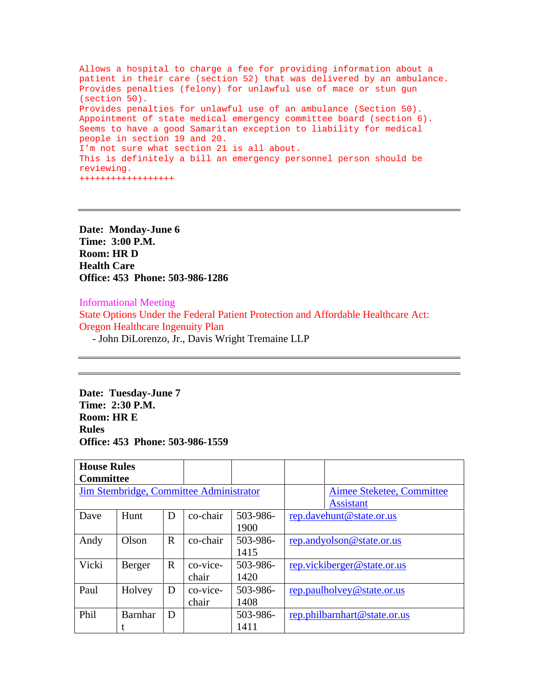Allows a hospital to charge a fee for providing information about a patient in their care (section 52) that was delivered by an ambulance. Provides penalties (felony) for unlawful use of mace or stun gun (section 50). Provides penalties for unlawful use of an ambulance (Section 50). Appointment of state medical emergency committee board (section 6). Seems to have a good Samaritan exception to liability for medical people in section 19 and 20. I'm not sure what section 21 is all about. This is definitely a bill an emergency personnel person should be reviewing. ++++++++++++++++++

**Date: Monday-June 6 Time: 3:00 P.M. Room: HR D Health Care Office: 453 Phone: 503-986-1286** 

Informational Meeting

State Options Under the Federal Patient Protection and Affordable Healthcare Act: Oregon Healthcare Ingenuity Plan

- John DiLorenzo, Jr., Davis Wright Tremaine LLP

**Date: Tuesday-June 7 Time: 2:30 P.M. Room: HR E Rules Office: 453 Phone: 503-986-1559** 

| <b>House Rules</b><br><b>Committee</b> |           |                                         |                  |                                                      |
|----------------------------------------|-----------|-----------------------------------------|------------------|------------------------------------------------------|
|                                        |           | Jim Stembridge, Committee Administrator |                  | <b>Aimee Steketee, Committee</b><br><b>Assistant</b> |
| Dave                                   | Hunt      | $D$   co-chair                          | 503-986-<br>1900 | rep.davehunt@state.or.us                             |
| Andy                                   | Olson     | $\log$ co-chair                         | 503-986-<br>1415 | rep.andyolson@state.or.us                            |
| Vicki                                  | Berger    | $\mathbb{R}$   co-vice-<br>chair        | 503-986-<br>1420 | rep.vickiberger@state.or.us                          |
| Paul                                   | Holvey    | $D$   co-vice-<br>chair                 | 503-986-<br>1408 | rep.paulholvey@state.or.us                           |
| Phil                                   | Barnhar D |                                         | 503-986-<br>1411 | rep.philbarnhart@state.or.us                         |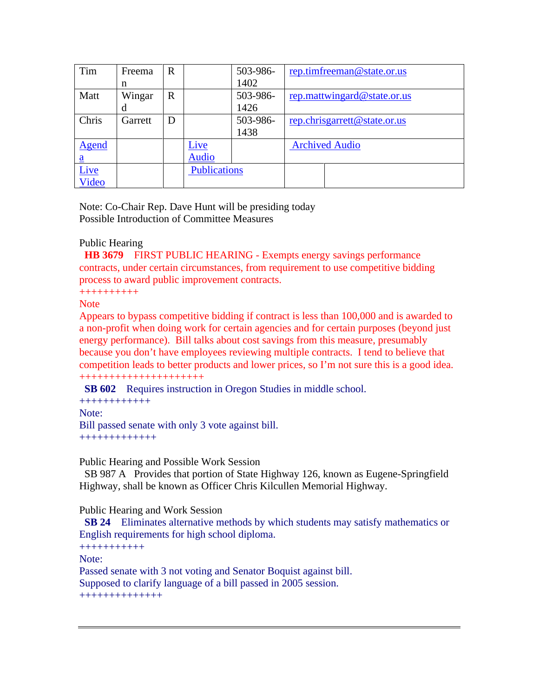| Tim          | Freema  | $R_{\perp}$ | 503-986-     | rep.timfreeman@state.or.us                          |
|--------------|---------|-------------|--------------|-----------------------------------------------------|
|              |         |             | 1402<br>140Z |                                                     |
| Matt         | Wingar  | $\vert R$   |              | $\Big $ 503-986- <u>rep.mattwingard@state.or.us</u> |
|              |         |             | 1426         |                                                     |
| Chris        | Garrett | D           | $503-986-$   | rep.chrisgarrett@state.or.us                        |
|              |         |             | 1438         |                                                     |
| <u>Agend</u> |         | <u>Live</u> |              | <b>Archived Audio</b>                               |
|              |         | Audio       |              |                                                     |
| <u>Live</u>  |         |             | Publications |                                                     |
| Video        |         |             |              |                                                     |

Note: Co-Chair Rep. Dave Hunt will be presiding today Possible Introduction of Committee Measures

# Public Hearing<br>

**HB 3679** FIRST PUBLIC HEARING - Exempts energy savings performance contracts, under certain circumstances, from requirement to use competitive bidding process to award public improvement contracts.

++++++++++

#### Note and the second second second second second second second second second second second second second second second second second second second second second second second second second second second second second second

Appears to bypass competitive bidding if contract is less than 100,000 and is awarded to a non-profit when doing work for certain agencies and for certain purposes (beyond just energy performance). Bill talks about cost savings from this measure, presumably because you don't have employees reviewing multiple contracts. I tend to believe that competition leads to better products and lower prices, so I'm not sure this is a good idea. +++++++++++++++++++++

 **SB 602** Requires instruction in Oregon Studies in middle school.

++++++++++++ Note: when the contract of the contract of the contract of the contract of the contract of the contract of the contract of the contract of the contract of the contract of the contract of the contract of the contract of the Bill passed senate with only 3 vote against bill. +++++++++++++

Public Hearing and Possible Work Session

SB 987 A Provides that portion of State Highway 126, known as Eugene-Springfield Highway, shall be known as Officer Chris Kilcullen Memorial Highway.

Public Hearing and Work Session

**SB 24** Eliminates alternative methods by which students may satisfy mathematics or English requirements for high school diploma.

+++++++++++

Note:

Passed senate with 3 not voting and Senator Boquist against bill. Supposed to clarify language of a bill passed in 2005 session.

++++++++++++++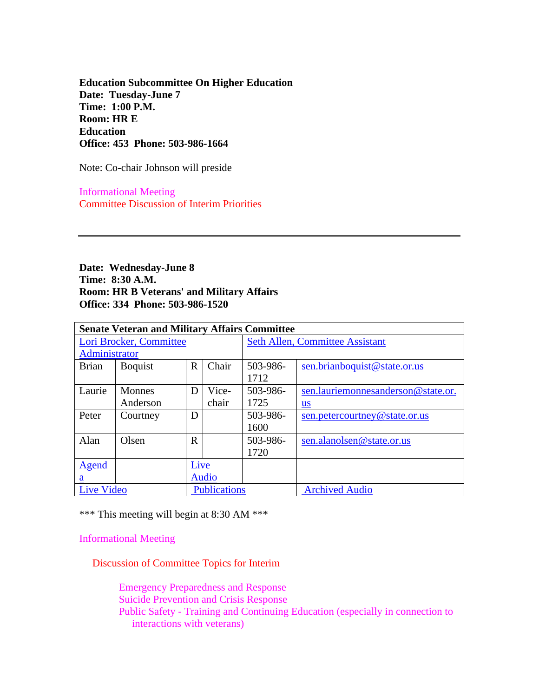**Education Subcommittee On Higher Education Date: Tuesday-June 7 Time: 1:00 P.M. Room: HR E Education Office: 453 Phone: 503-986-1664** 

Note: Co-chair Johnson will preside

 Informational Meeting Committee Discussion of Interim Priorities

**Date: Wednesday-June 8 Time: 8:30 A.M. Room: HR B Veterans' and Military Affairs Office: 334 Phone: 503-986-1520** 

| <b>Senate Veteran and Military Affairs Committee</b> |                 |             |                       |                                        |                                    |  |
|------------------------------------------------------|-----------------|-------------|-----------------------|----------------------------------------|------------------------------------|--|
| Lori Brocker, Committee                              |                 |             |                       | <b>Seth Allen, Committee Assistant</b> |                                    |  |
| Administrator                                        |                 |             |                       |                                        |                                    |  |
| <b>Brian</b>                                         | Boquist         |             | $R$ Chair             | 503-986-                               | sen.brianboquist@state.or.us       |  |
|                                                      |                 |             |                       | 1712                                   |                                    |  |
|                                                      | Laurie   Monnes |             | $\mid$ D $\mid$ Vice- | 503-986-                               | sen.lauriemonnesanderson@state.or. |  |
|                                                      | Anderson        |             | chair                 | 1725                                   |                                    |  |
| Peter                                                | Courtney        | D           |                       | 503-986-                               | sen.petercourtney@state.or.us      |  |
|                                                      |                 |             |                       | 1600                                   |                                    |  |
| Alan                                                 | Olsen           | R           |                       | 503-986-                               | sen.alanolsen@state.or.us          |  |
|                                                      |                 |             |                       | 1720                                   |                                    |  |
| Agend                                                |                 | <b>Live</b> |                       |                                        |                                    |  |
|                                                      |                 |             |                       |                                        |                                    |  |
| <b>Live Video</b>                                    |                 |             | Publications          |                                        | <b>Archived Audio</b>              |  |

\*\*\* This meeting will begin at 8:30 AM \*\*\*

Informational Meeting

Discussion of Committee Topics for Interim

 Emergency Preparedness and Response Suicide Prevention and Crisis Response Public Safety - Training and Continuing Education (especially in connection to interactions with veterans)